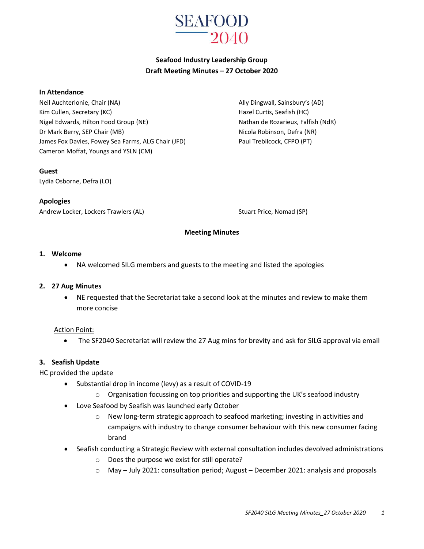

# **Seafood Industry Leadership Group Draft Meeting Minutes – 27 October 2020**

#### **In Attendance**

Neil Auchterlonie, Chair (NA) and South Ally Dingwall, Sainsbury's (AD) Kim Cullen, Secretary (KC) The Curtis, Seafish (HC) Hazel Curtis, Seafish (HC) Nigel Edwards, Hilton Food Group (NE) Nathan de Rozarieux, Falfish (NdR) Dr Mark Berry, SEP Chair (MB) Nicola Robinson, Defra (NR) James Fox Davies, Fowey Sea Farms, ALG Chair (JFD) Paul Trebilcock, CFPO (PT) Cameron Moffat, Youngs and YSLN (CM)

**Guest**

Lydia Osborne, Defra (LO)

**Apologies** Andrew Locker, Lockers Trawlers (AL) Stuart Price, Nomad (SP)

#### **Meeting Minutes**

#### **1. Welcome**

NA welcomed SILG members and guests to the meeting and listed the apologies

#### **2. 27 Aug Minutes**

 NE requested that the Secretariat take a second look at the minutes and review to make them more concise

#### Action Point:

The SF2040 Secretariat will review the 27 Aug mins for brevity and ask for SILG approval via email

#### **3. Seafish Update**

HC provided the update

- Substantial drop in income (levy) as a result of COVID-19
	- $\circ$  Organisation focussing on top priorities and supporting the UK's seafood industry
- Love Seafood by Seafish was launched early October
	- o New long-term strategic approach to seafood marketing; investing in activities and campaigns with industry to change consumer behaviour with this new consumer facing brand
- Seafish conducting a Strategic Review with external consultation includes devolved administrations
	- o Does the purpose we exist for still operate?
	- $\circ$  May July 2021: consultation period; August December 2021: analysis and proposals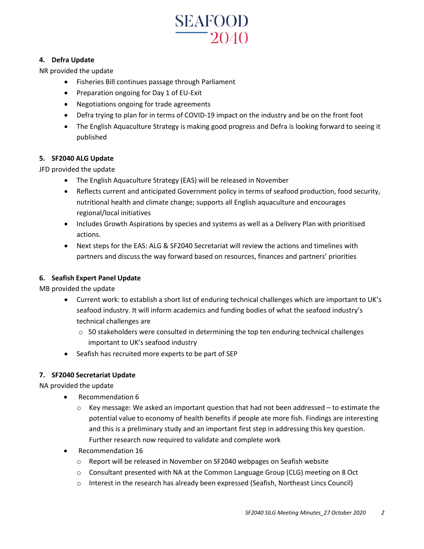

## **4. Defra Update**

NR provided the update

- Fisheries Bill continues passage through Parliament
- Preparation ongoing for Day 1 of EU-Exit
- Negotiations ongoing for trade agreements
- Defra trying to plan for in terms of COVID-19 impact on the industry and be on the front foot
- The English Aquaculture Strategy is making good progress and Defra is looking forward to seeing it published

#### **5. SF2040 ALG Update**

JFD provided the update

- The English Aquaculture Strategy (EAS) will be released in November
- Reflects current and anticipated Government policy in terms of seafood production, food security, nutritional health and climate change; supports all English aquaculture and encourages regional/local initiatives
- Includes Growth Aspirations by species and systems as well as a Delivery Plan with prioritised actions.
- Next steps for the EAS: ALG & SF2040 Secretariat will review the actions and timelines with partners and discuss the way forward based on resources, finances and partners' priorities

### **6. Seafish Expert Panel Update**

MB provided the update

- Current work: to establish a short list of enduring technical challenges which are important to UK's seafood industry. It will inform academics and funding bodies of what the seafood industry's technical challenges are
	- $\circ$  50 stakeholders were consulted in determining the top ten enduring technical challenges important to UK's seafood industry
- Seafish has recruited more experts to be part of SEP

#### **7. SF2040 Secretariat Update**

NA provided the update

- Recommendation 6
	- $\circ$  Key message: We asked an important question that had not been addressed to estimate the potential value to economy of health benefits if people ate more fish. Findings are interesting and this is a preliminary study and an important first step in addressing this key question. Further research now required to validate and complete work
- Recommendation 16
	- o Report will be released in November on SF2040 webpages on Seafish website
	- o Consultant presented with NA at the Common Language Group (CLG) meeting on 8 Oct
	- o Interest in the research has already been expressed (Seafish, Northeast Lincs Council)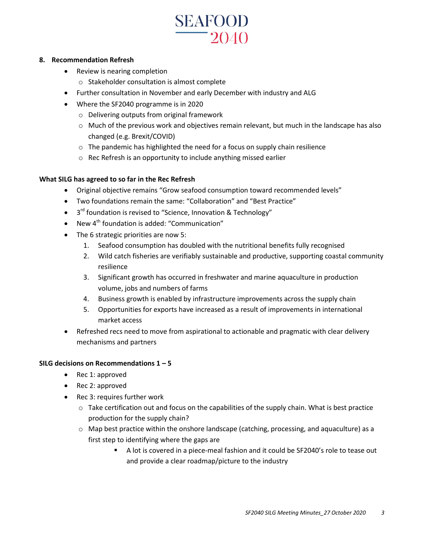# **SEAFOOD**  $-2040$

#### **8. Recommendation Refresh**

- Review is nearing completion
	- o Stakeholder consultation is almost complete
- Further consultation in November and early December with industry and ALG
- Where the SF2040 programme is in 2020
	- o Delivering outputs from original framework
	- o Much of the previous work and objectives remain relevant, but much in the landscape has also changed (e.g. Brexit/COVID)
	- $\circ$  The pandemic has highlighted the need for a focus on supply chain resilience
	- o Rec Refresh is an opportunity to include anything missed earlier

#### **What SILG has agreed to so far in the Rec Refresh**

- Original objective remains "Grow seafood consumption toward recommended levels"
- Two foundations remain the same: "Collaboration" and "Best Practice"
- $\bullet$  3<sup>rd</sup> foundation is revised to "Science, Innovation & Technology"
- New 4th foundation is added: "Communication"
- The 6 strategic priorities are now 5:
	- 1. Seafood consumption has doubled with the nutritional benefits fully recognised
	- 2. Wild catch fisheries are verifiably sustainable and productive, supporting coastal community resilience
	- 3. Significant growth has occurred in freshwater and marine aquaculture in production volume, jobs and numbers of farms
	- 4. Business growth is enabled by infrastructure improvements across the supply chain
	- 5. Opportunities for exports have increased as a result of improvements in international market access
- Refreshed recs need to move from aspirational to actionable and pragmatic with clear delivery mechanisms and partners

#### **SILG decisions on Recommendations 1 – 5**

- Rec 1: approved
- Rec 2: approved
- Rec 3: requires further work
	- $\circ$  Take certification out and focus on the capabilities of the supply chain. What is best practice production for the supply chain?
	- o Map best practice within the onshore landscape (catching, processing, and aquaculture) as a first step to identifying where the gaps are
		- A lot is covered in a piece-meal fashion and it could be SF2040's role to tease out and provide a clear roadmap/picture to the industry